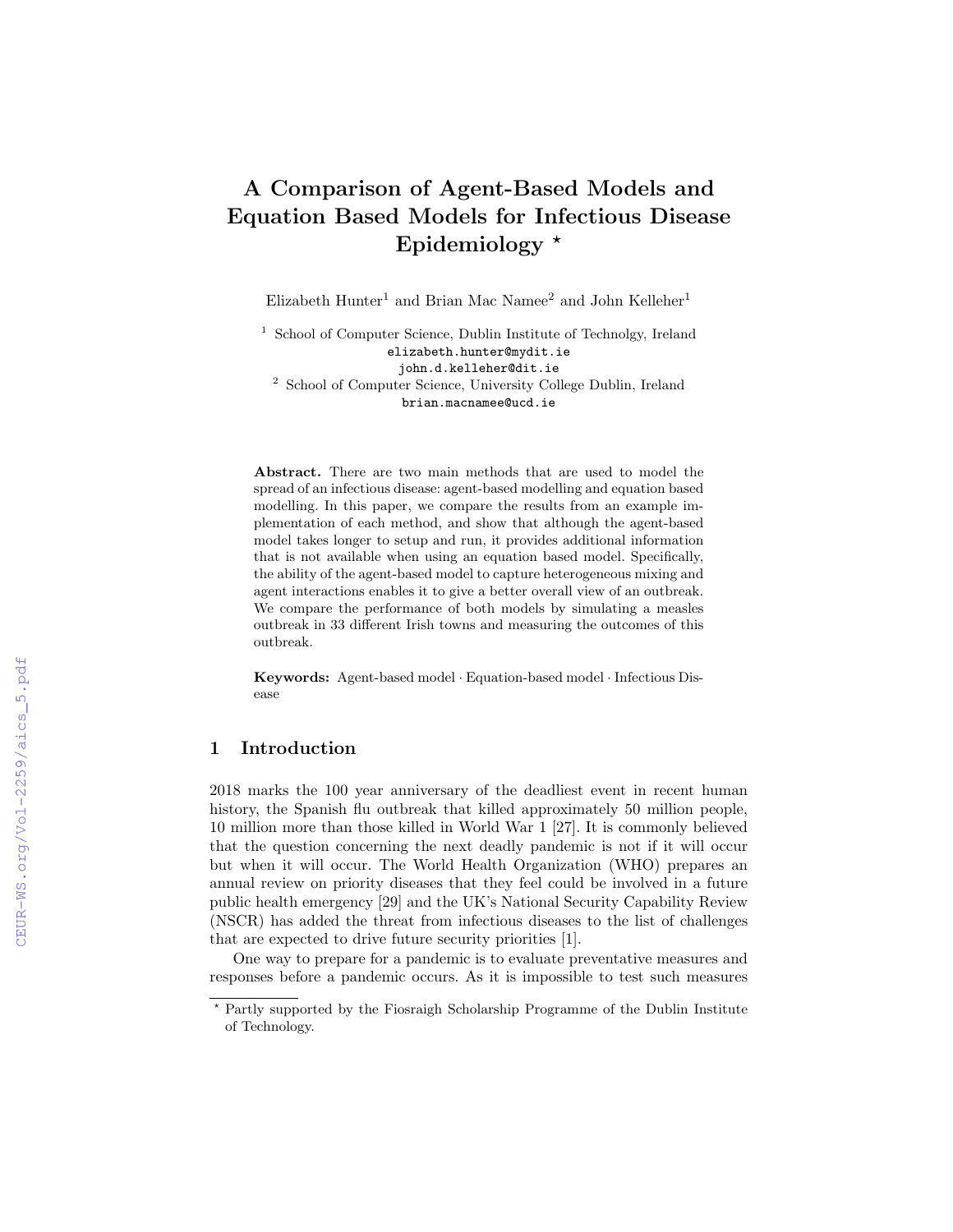# A Comparison of Agent-Based Models and Equation Based Models for Infectious Disease Epidemiology  $*$

Elizabeth Hunter<sup>1</sup> and Brian Mac Namee<sup>2</sup> and John Kelleher<sup>1</sup>

<sup>1</sup> School of Computer Science, Dublin Institute of Technolgy, Ireland elizabeth.hunter@mydit.ie john.d.kelleher@dit.ie <sup>2</sup> School of Computer Science, University College Dublin, Ireland brian.macnamee@ucd.ie

Abstract. There are two main methods that are used to model the spread of an infectious disease: agent-based modelling and equation based modelling. In this paper, we compare the results from an example implementation of each method, and show that although the agent-based model takes longer to setup and run, it provides additional information that is not available when using an equation based model. Specifically, the ability of the agent-based model to capture heterogeneous mixing and agent interactions enables it to give a better overall view of an outbreak. We compare the performance of both models by simulating a measles outbreak in 33 different Irish towns and measuring the outcomes of this outbreak.

Keywords: Agent-based model · Equation-based model · Infectious Disease

## 1 Introduction

2018 marks the 100 year anniversary of the deadliest event in recent human history, the Spanish flu outbreak that killed approximately 50 million people, 10 million more than those killed in World War 1 [27]. It is commonly believed that the question concerning the next deadly pandemic is not if it will occur but when it will occur. The World Health Organization (WHO) prepares an annual review on priority diseases that they feel could be involved in a future public health emergency [29] and the UK's National Security Capability Review (NSCR) has added the threat from infectious diseases to the list of challenges that are expected to drive future security priorities [1].

One way to prepare for a pandemic is to evaluate preventative measures and responses before a pandemic occurs. As it is impossible to test such measures

<sup>?</sup> Partly supported by the Fiosraigh Scholarship Programme of the Dublin Institute of Technology.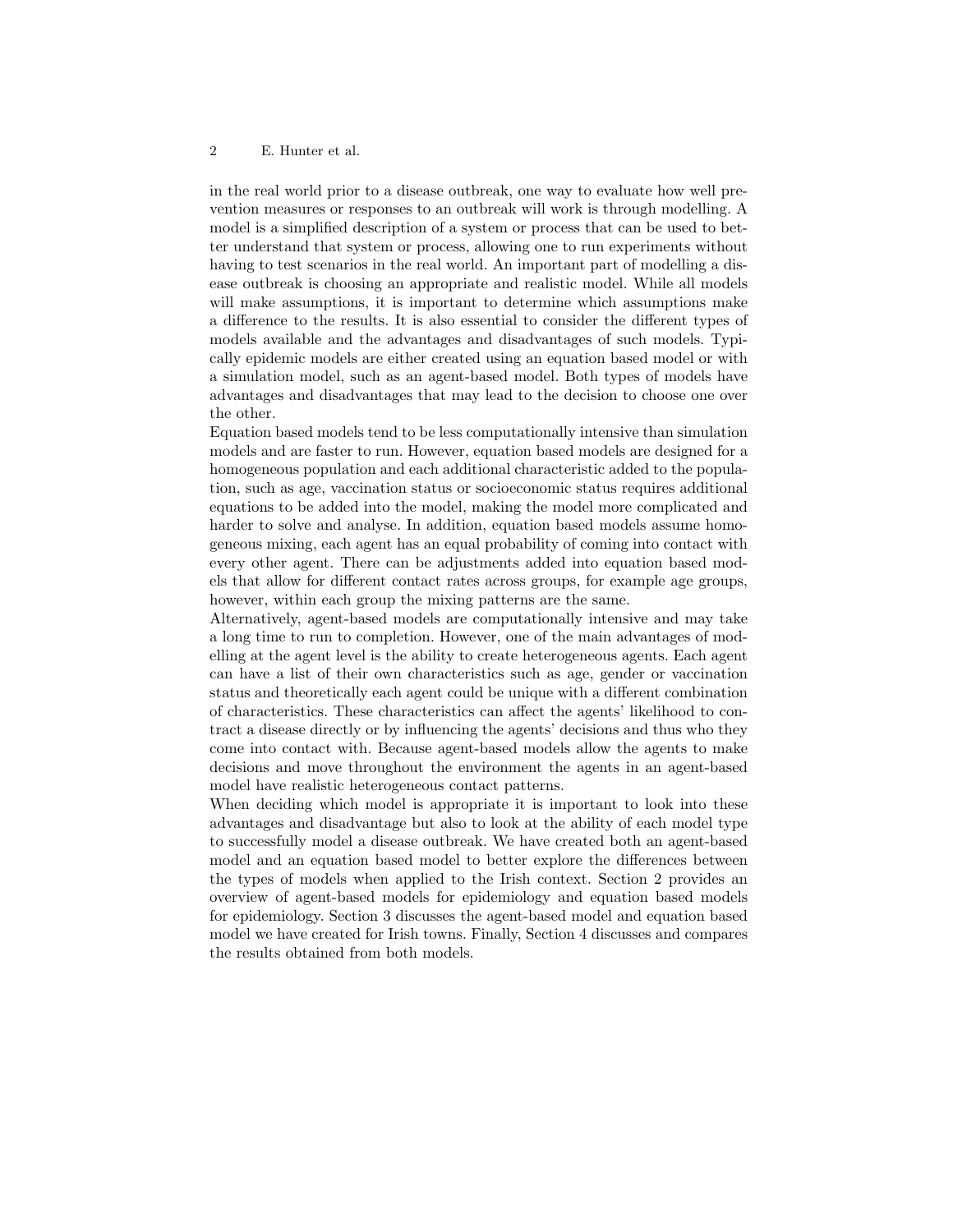in the real world prior to a disease outbreak, one way to evaluate how well prevention measures or responses to an outbreak will work is through modelling. A model is a simplified description of a system or process that can be used to better understand that system or process, allowing one to run experiments without having to test scenarios in the real world. An important part of modelling a disease outbreak is choosing an appropriate and realistic model. While all models will make assumptions, it is important to determine which assumptions make a difference to the results. It is also essential to consider the different types of models available and the advantages and disadvantages of such models. Typically epidemic models are either created using an equation based model or with a simulation model, such as an agent-based model. Both types of models have advantages and disadvantages that may lead to the decision to choose one over the other.

Equation based models tend to be less computationally intensive than simulation models and are faster to run. However, equation based models are designed for a homogeneous population and each additional characteristic added to the population, such as age, vaccination status or socioeconomic status requires additional equations to be added into the model, making the model more complicated and harder to solve and analyse. In addition, equation based models assume homogeneous mixing, each agent has an equal probability of coming into contact with every other agent. There can be adjustments added into equation based models that allow for different contact rates across groups, for example age groups, however, within each group the mixing patterns are the same.

Alternatively, agent-based models are computationally intensive and may take a long time to run to completion. However, one of the main advantages of modelling at the agent level is the ability to create heterogeneous agents. Each agent can have a list of their own characteristics such as age, gender or vaccination status and theoretically each agent could be unique with a different combination of characteristics. These characteristics can affect the agents' likelihood to contract a disease directly or by influencing the agents' decisions and thus who they come into contact with. Because agent-based models allow the agents to make decisions and move throughout the environment the agents in an agent-based model have realistic heterogeneous contact patterns.

When deciding which model is appropriate it is important to look into these advantages and disadvantage but also to look at the ability of each model type to successfully model a disease outbreak. We have created both an agent-based model and an equation based model to better explore the differences between the types of models when applied to the Irish context. Section 2 provides an overview of agent-based models for epidemiology and equation based models for epidemiology. Section 3 discusses the agent-based model and equation based model we have created for Irish towns. Finally, Section 4 discusses and compares the results obtained from both models.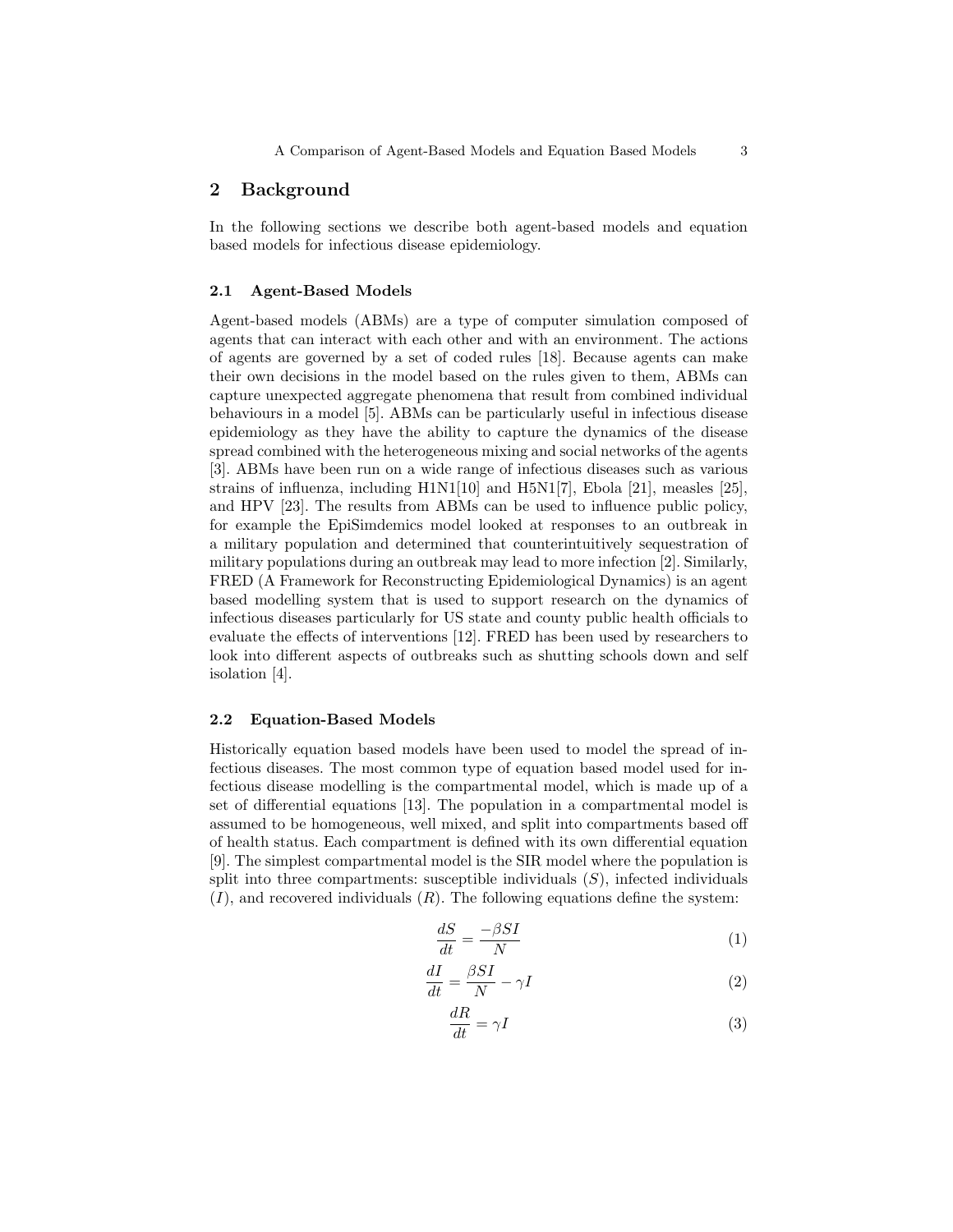## 2 Background

In the following sections we describe both agent-based models and equation based models for infectious disease epidemiology.

## 2.1 Agent-Based Models

Agent-based models (ABMs) are a type of computer simulation composed of agents that can interact with each other and with an environment. The actions of agents are governed by a set of coded rules [18]. Because agents can make their own decisions in the model based on the rules given to them, ABMs can capture unexpected aggregate phenomena that result from combined individual behaviours in a model [5]. ABMs can be particularly useful in infectious disease epidemiology as they have the ability to capture the dynamics of the disease spread combined with the heterogeneous mixing and social networks of the agents [3]. ABMs have been run on a wide range of infectious diseases such as various strains of influenza, including H1N1[10] and H5N1[7], Ebola [21], measles [25], and HPV [23]. The results from ABMs can be used to influence public policy, for example the EpiSimdemics model looked at responses to an outbreak in a military population and determined that counterintuitively sequestration of military populations during an outbreak may lead to more infection [2]. Similarly, FRED (A Framework for Reconstructing Epidemiological Dynamics) is an agent based modelling system that is used to support research on the dynamics of infectious diseases particularly for US state and county public health officials to evaluate the effects of interventions [12]. FRED has been used by researchers to look into different aspects of outbreaks such as shutting schools down and self isolation [4].

### 2.2 Equation-Based Models

Historically equation based models have been used to model the spread of infectious diseases. The most common type of equation based model used for infectious disease modelling is the compartmental model, which is made up of a set of differential equations [13]. The population in a compartmental model is assumed to be homogeneous, well mixed, and split into compartments based off of health status. Each compartment is defined with its own differential equation [9]. The simplest compartmental model is the SIR model where the population is split into three compartments: susceptible individuals  $(S)$ , infected individuals  $(I)$ , and recovered individuals  $(R)$ . The following equations define the system:

$$
\frac{dS}{dt} = \frac{-\beta SI}{N} \tag{1}
$$

$$
\frac{dI}{dt} = \frac{\beta SI}{N} - \gamma I \tag{2}
$$

$$
\frac{dR}{dt} = \gamma I \tag{3}
$$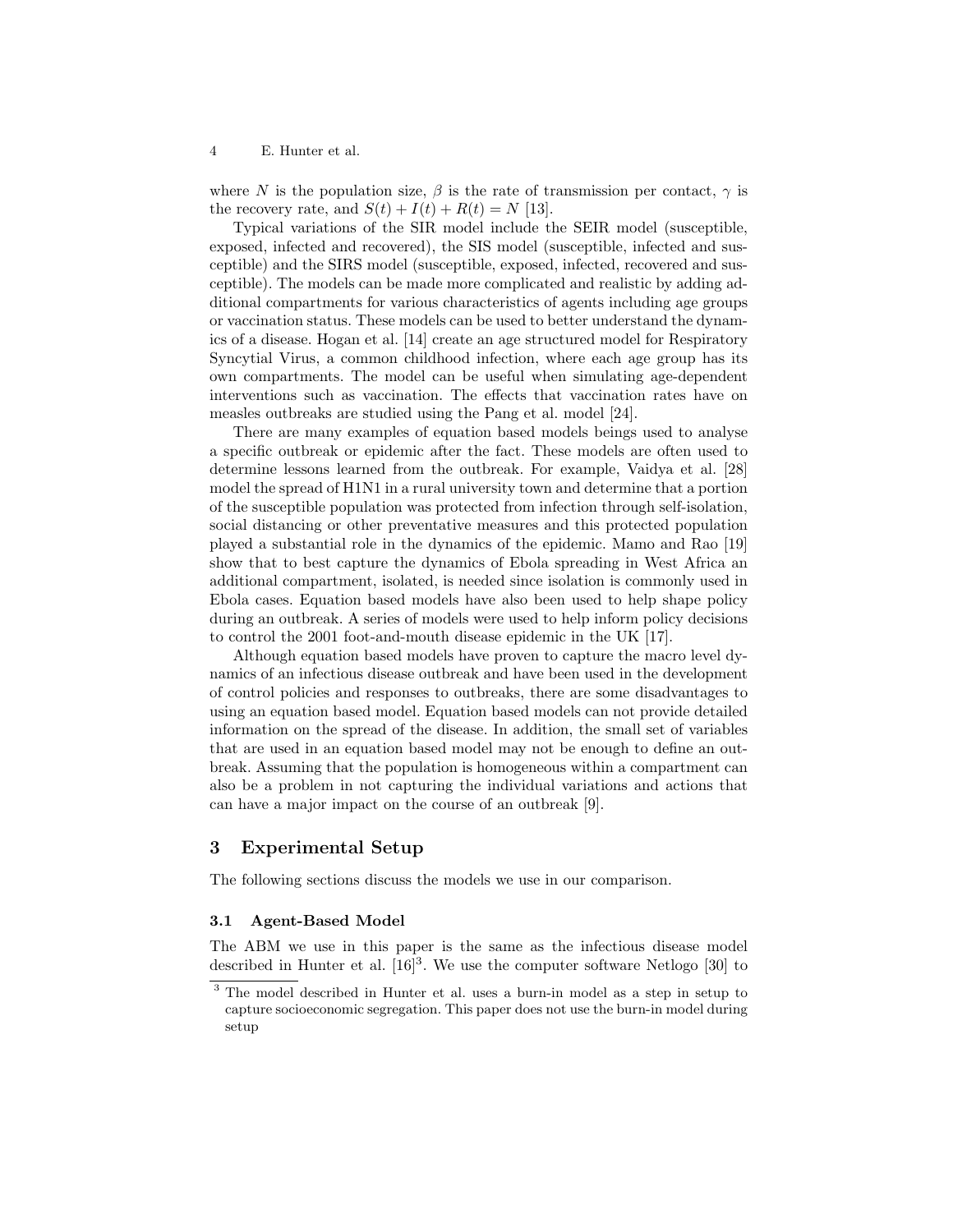where N is the population size,  $\beta$  is the rate of transmission per contact,  $\gamma$  is the recovery rate, and  $S(t) + I(t) + R(t) = N$  [13].

Typical variations of the SIR model include the SEIR model (susceptible, exposed, infected and recovered), the SIS model (susceptible, infected and susceptible) and the SIRS model (susceptible, exposed, infected, recovered and susceptible). The models can be made more complicated and realistic by adding additional compartments for various characteristics of agents including age groups or vaccination status. These models can be used to better understand the dynamics of a disease. Hogan et al. [14] create an age structured model for Respiratory Syncytial Virus, a common childhood infection, where each age group has its own compartments. The model can be useful when simulating age-dependent interventions such as vaccination. The effects that vaccination rates have on measles outbreaks are studied using the Pang et al. model [24].

There are many examples of equation based models beings used to analyse a specific outbreak or epidemic after the fact. These models are often used to determine lessons learned from the outbreak. For example, Vaidya et al. [28] model the spread of H1N1 in a rural university town and determine that a portion of the susceptible population was protected from infection through self-isolation, social distancing or other preventative measures and this protected population played a substantial role in the dynamics of the epidemic. Mamo and Rao [19] show that to best capture the dynamics of Ebola spreading in West Africa an additional compartment, isolated, is needed since isolation is commonly used in Ebola cases. Equation based models have also been used to help shape policy during an outbreak. A series of models were used to help inform policy decisions to control the 2001 foot-and-mouth disease epidemic in the UK [17].

Although equation based models have proven to capture the macro level dynamics of an infectious disease outbreak and have been used in the development of control policies and responses to outbreaks, there are some disadvantages to using an equation based model. Equation based models can not provide detailed information on the spread of the disease. In addition, the small set of variables that are used in an equation based model may not be enough to define an outbreak. Assuming that the population is homogeneous within a compartment can also be a problem in not capturing the individual variations and actions that can have a major impact on the course of an outbreak [9].

## 3 Experimental Setup

The following sections discuss the models we use in our comparison.

#### 3.1 Agent-Based Model

The ABM we use in this paper is the same as the infectious disease model described in Hunter et al.  $[16]^{3}$ . We use the computer software Netlogo [30] to

<sup>3</sup> The model described in Hunter et al. uses a burn-in model as a step in setup to capture socioeconomic segregation. This paper does not use the burn-in model during setup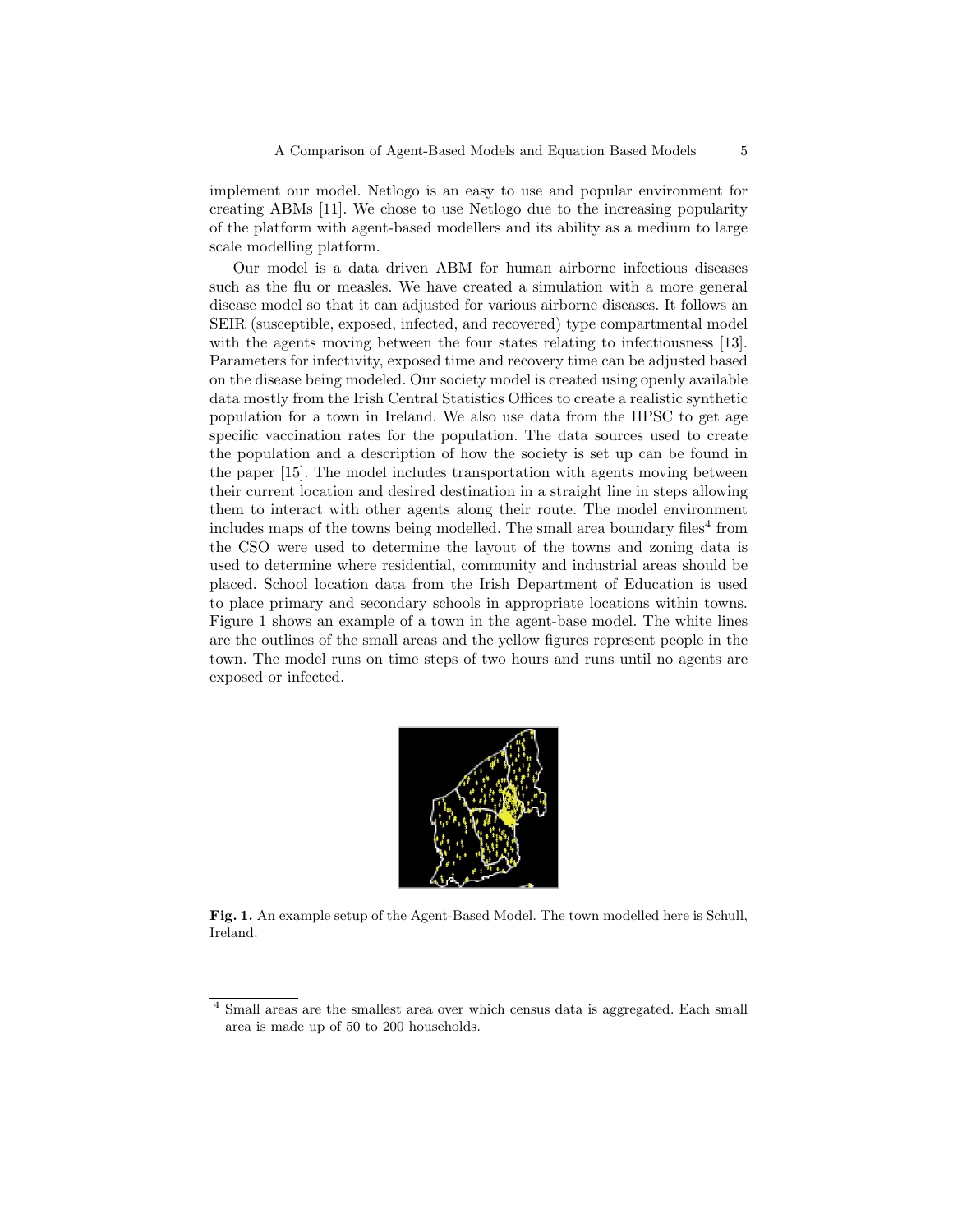implement our model. Netlogo is an easy to use and popular environment for creating ABMs [11]. We chose to use Netlogo due to the increasing popularity of the platform with agent-based modellers and its ability as a medium to large scale modelling platform.

Our model is a data driven ABM for human airborne infectious diseases such as the flu or measles. We have created a simulation with a more general disease model so that it can adjusted for various airborne diseases. It follows an SEIR (susceptible, exposed, infected, and recovered) type compartmental model with the agents moving between the four states relating to infectiousness [13]. Parameters for infectivity, exposed time and recovery time can be adjusted based on the disease being modeled. Our society model is created using openly available data mostly from the Irish Central Statistics Offices to create a realistic synthetic population for a town in Ireland. We also use data from the HPSC to get age specific vaccination rates for the population. The data sources used to create the population and a description of how the society is set up can be found in the paper [15]. The model includes transportation with agents moving between their current location and desired destination in a straight line in steps allowing them to interact with other agents along their route. The model environment includes maps of the towns being modelled. The small area boundary files<sup>4</sup> from the CSO were used to determine the layout of the towns and zoning data is used to determine where residential, community and industrial areas should be placed. School location data from the Irish Department of Education is used to place primary and secondary schools in appropriate locations within towns. Figure 1 shows an example of a town in the agent-base model. The white lines are the outlines of the small areas and the yellow figures represent people in the town. The model runs on time steps of two hours and runs until no agents are exposed or infected.



Fig. 1. An example setup of the Agent-Based Model. The town modelled here is Schull, Ireland.

<sup>4</sup> Small areas are the smallest area over which census data is aggregated. Each small area is made up of 50 to 200 households.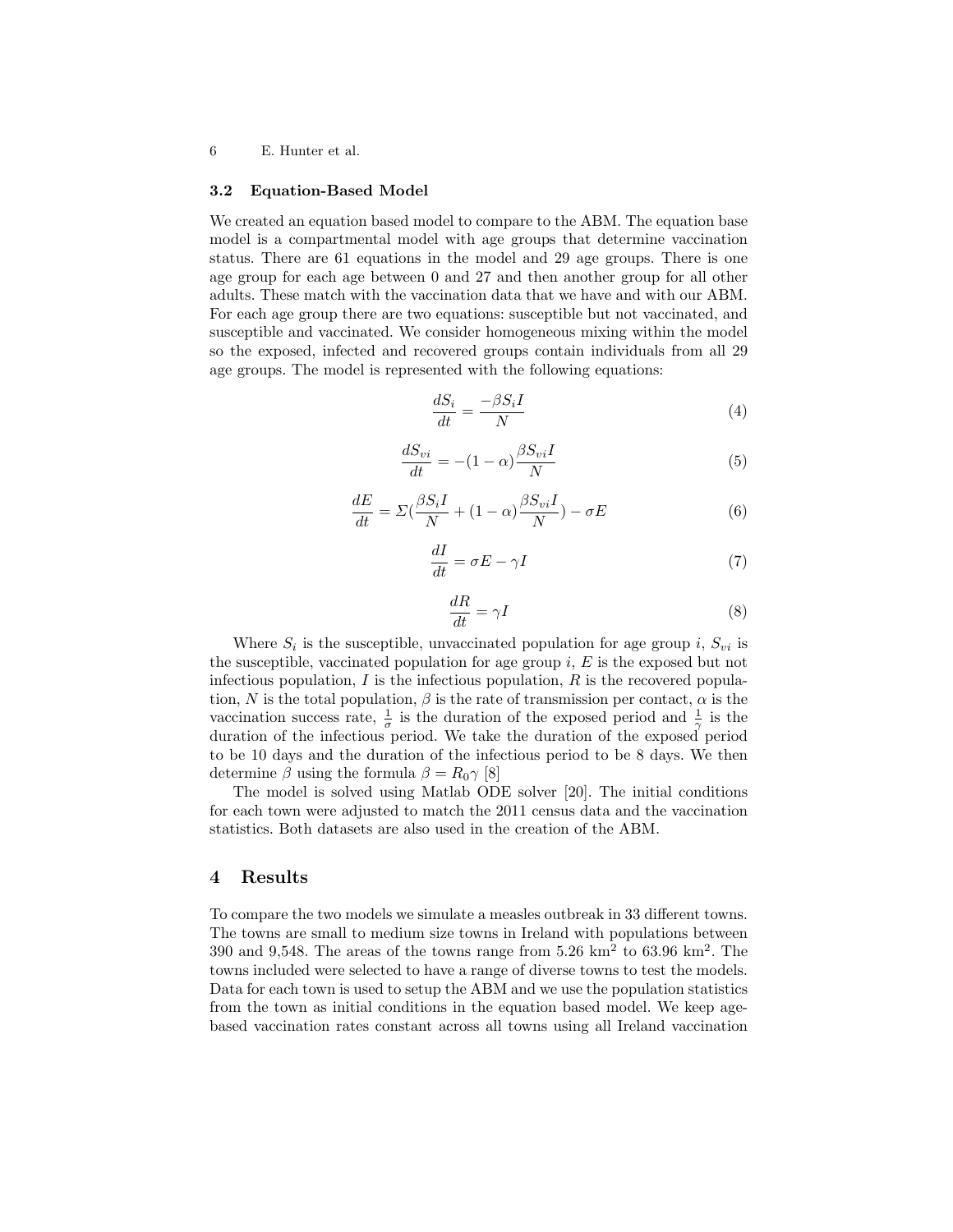#### 3.2 Equation-Based Model

We created an equation based model to compare to the ABM. The equation base model is a compartmental model with age groups that determine vaccination status. There are 61 equations in the model and 29 age groups. There is one age group for each age between 0 and 27 and then another group for all other adults. These match with the vaccination data that we have and with our ABM. For each age group there are two equations: susceptible but not vaccinated, and susceptible and vaccinated. We consider homogeneous mixing within the model so the exposed, infected and recovered groups contain individuals from all 29 age groups. The model is represented with the following equations:

$$
\frac{dS_i}{dt} = \frac{-\beta S_i I}{N} \tag{4}
$$

$$
\frac{dS_{vi}}{dt} = -(1 - \alpha) \frac{\beta S_{vi}I}{N}
$$
\n(5)

$$
\frac{dE}{dt} = \Sigma \left( \frac{\beta S_i I}{N} + (1 - \alpha) \frac{\beta S_{vi} I}{N} \right) - \sigma E \tag{6}
$$

$$
\frac{dI}{dt} = \sigma E - \gamma I\tag{7}
$$

$$
\frac{dR}{dt} = \gamma I \tag{8}
$$

Where  $S_i$  is the susceptible, unvaccinated population for age group i,  $S_{vi}$  is the susceptible, vaccinated population for age group  $i, E$  is the exposed but not infectious population,  $I$  is the infectious population,  $R$  is the recovered population, N is the total population,  $\beta$  is the rate of transmission per contact,  $\alpha$  is the vaccination success rate,  $\frac{1}{\sigma}$  is the duration of the exposed period and  $\frac{1}{\gamma}$  is the duration of the infectious period. We take the duration of the exposed period to be 10 days and the duration of the infectious period to be 8 days. We then determine  $\beta$  using the formula  $\beta = R_0 \gamma$  [8]

The model is solved using Matlab ODE solver [20]. The initial conditions for each town were adjusted to match the 2011 census data and the vaccination statistics. Both datasets are also used in the creation of the ABM.

#### 4 Results

To compare the two models we simulate a measles outbreak in 33 different towns. The towns are small to medium size towns in Ireland with populations between 390 and 9,548. The areas of the towns range from  $5.26 \text{ km}^2$  to  $63.96 \text{ km}^2$ . The towns included were selected to have a range of diverse towns to test the models. Data for each town is used to setup the ABM and we use the population statistics from the town as initial conditions in the equation based model. We keep agebased vaccination rates constant across all towns using all Ireland vaccination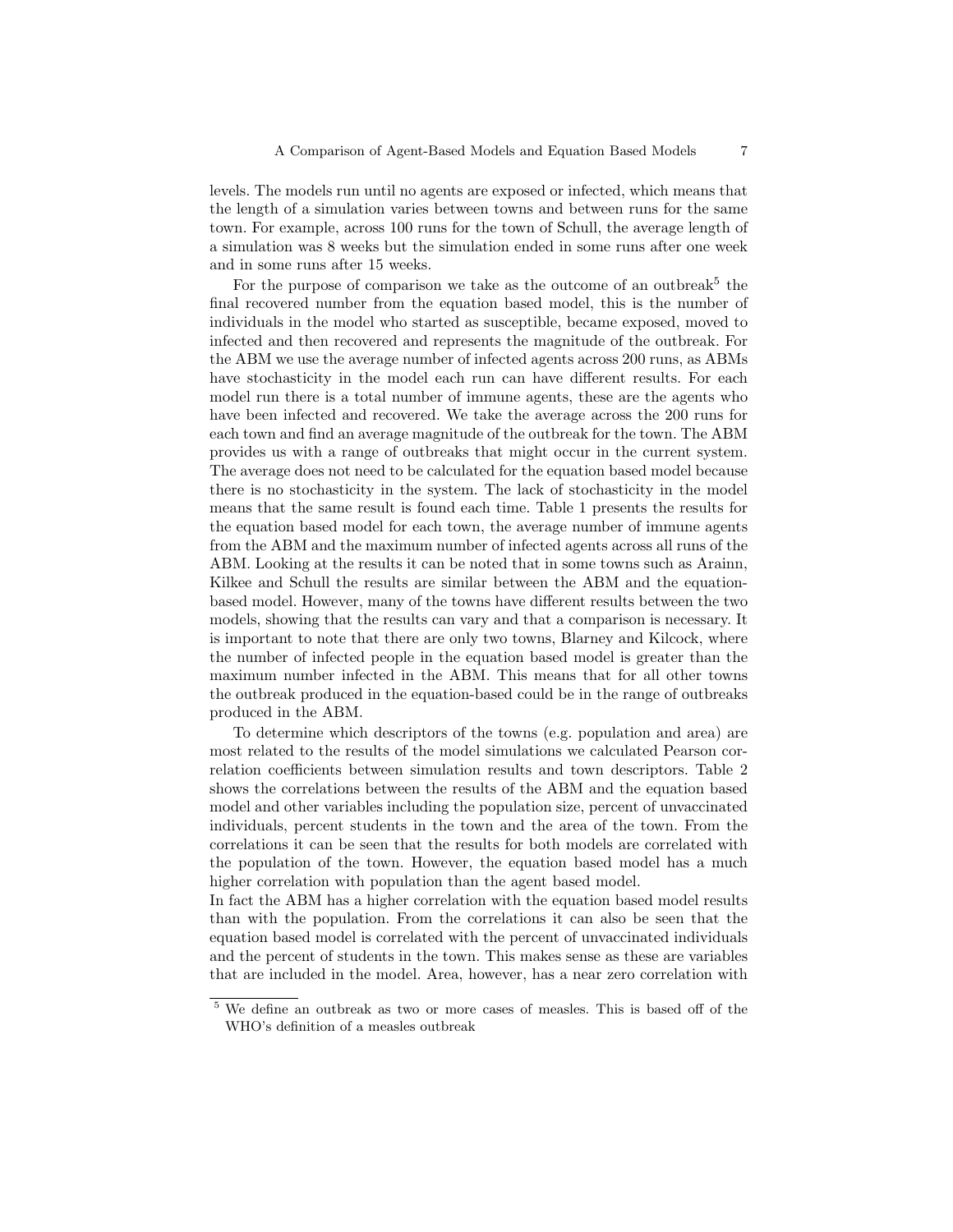levels. The models run until no agents are exposed or infected, which means that the length of a simulation varies between towns and between runs for the same town. For example, across 100 runs for the town of Schull, the average length of a simulation was 8 weeks but the simulation ended in some runs after one week and in some runs after 15 weeks.

For the purpose of comparison we take as the outcome of an outbreak<sup>5</sup> the final recovered number from the equation based model, this is the number of individuals in the model who started as susceptible, became exposed, moved to infected and then recovered and represents the magnitude of the outbreak. For the ABM we use the average number of infected agents across 200 runs, as ABMs have stochasticity in the model each run can have different results. For each model run there is a total number of immune agents, these are the agents who have been infected and recovered. We take the average across the 200 runs for each town and find an average magnitude of the outbreak for the town. The ABM provides us with a range of outbreaks that might occur in the current system. The average does not need to be calculated for the equation based model because there is no stochasticity in the system. The lack of stochasticity in the model means that the same result is found each time. Table 1 presents the results for the equation based model for each town, the average number of immune agents from the ABM and the maximum number of infected agents across all runs of the ABM. Looking at the results it can be noted that in some towns such as Arainn, Kilkee and Schull the results are similar between the ABM and the equationbased model. However, many of the towns have different results between the two models, showing that the results can vary and that a comparison is necessary. It is important to note that there are only two towns, Blarney and Kilcock, where the number of infected people in the equation based model is greater than the maximum number infected in the ABM. This means that for all other towns the outbreak produced in the equation-based could be in the range of outbreaks produced in the ABM.

To determine which descriptors of the towns (e.g. population and area) are most related to the results of the model simulations we calculated Pearson correlation coefficients between simulation results and town descriptors. Table 2 shows the correlations between the results of the ABM and the equation based model and other variables including the population size, percent of unvaccinated individuals, percent students in the town and the area of the town. From the correlations it can be seen that the results for both models are correlated with the population of the town. However, the equation based model has a much higher correlation with population than the agent based model.

In fact the ABM has a higher correlation with the equation based model results than with the population. From the correlations it can also be seen that the equation based model is correlated with the percent of unvaccinated individuals and the percent of students in the town. This makes sense as these are variables that are included in the model. Area, however, has a near zero correlation with

<sup>5</sup> We define an outbreak as two or more cases of measles. This is based off of the WHO's definition of a measles outbreak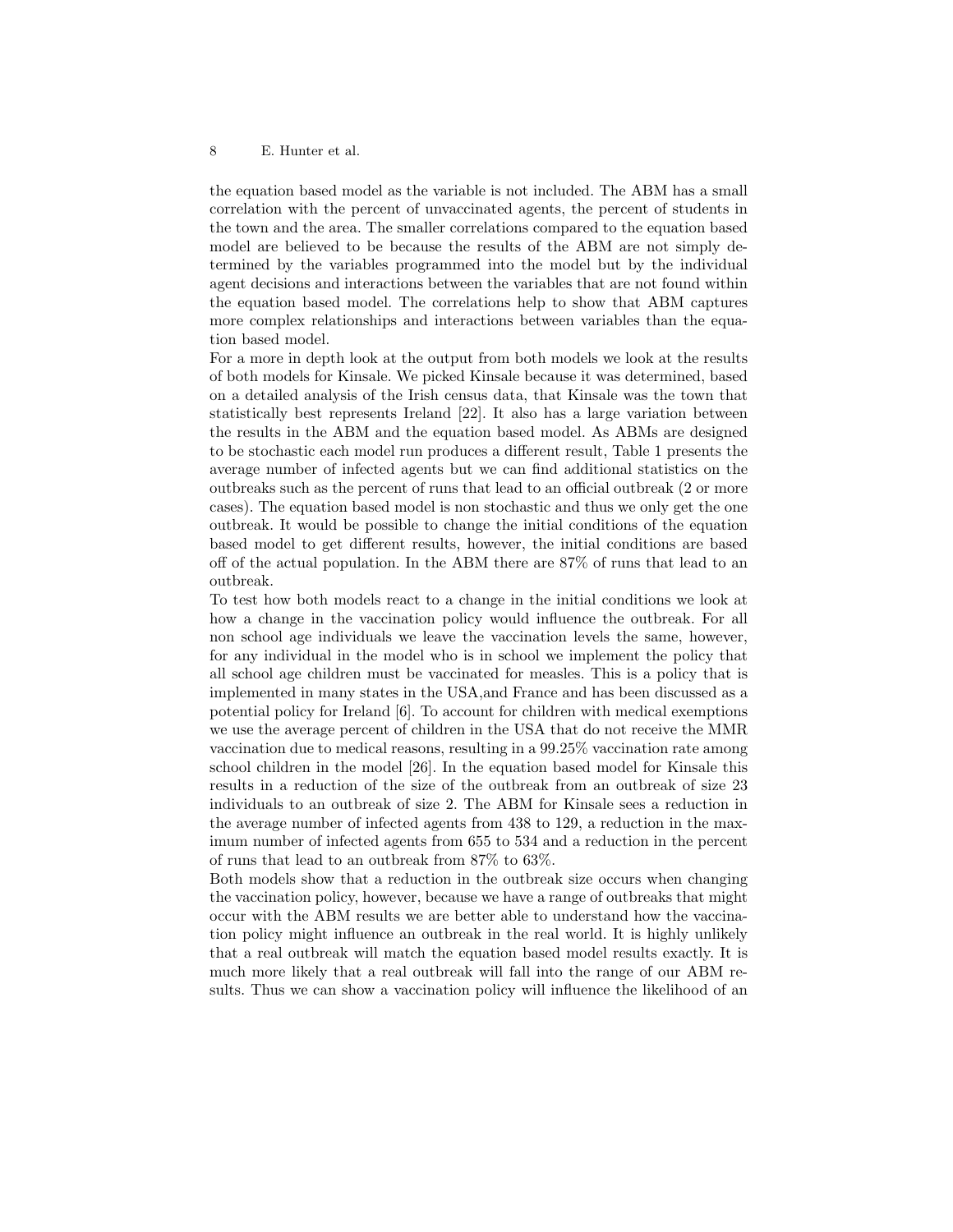the equation based model as the variable is not included. The ABM has a small correlation with the percent of unvaccinated agents, the percent of students in the town and the area. The smaller correlations compared to the equation based model are believed to be because the results of the ABM are not simply determined by the variables programmed into the model but by the individual agent decisions and interactions between the variables that are not found within the equation based model. The correlations help to show that ABM captures more complex relationships and interactions between variables than the equation based model.

For a more in depth look at the output from both models we look at the results of both models for Kinsale. We picked Kinsale because it was determined, based on a detailed analysis of the Irish census data, that Kinsale was the town that statistically best represents Ireland [22]. It also has a large variation between the results in the ABM and the equation based model. As ABMs are designed to be stochastic each model run produces a different result, Table 1 presents the average number of infected agents but we can find additional statistics on the outbreaks such as the percent of runs that lead to an official outbreak (2 or more cases). The equation based model is non stochastic and thus we only get the one outbreak. It would be possible to change the initial conditions of the equation based model to get different results, however, the initial conditions are based off of the actual population. In the ABM there are 87% of runs that lead to an outbreak.

To test how both models react to a change in the initial conditions we look at how a change in the vaccination policy would influence the outbreak. For all non school age individuals we leave the vaccination levels the same, however, for any individual in the model who is in school we implement the policy that all school age children must be vaccinated for measles. This is a policy that is implemented in many states in the USA,and France and has been discussed as a potential policy for Ireland [6]. To account for children with medical exemptions we use the average percent of children in the USA that do not receive the MMR vaccination due to medical reasons, resulting in a 99.25% vaccination rate among school children in the model [26]. In the equation based model for Kinsale this results in a reduction of the size of the outbreak from an outbreak of size 23 individuals to an outbreak of size 2. The ABM for Kinsale sees a reduction in the average number of infected agents from 438 to 129, a reduction in the maximum number of infected agents from 655 to 534 and a reduction in the percent of runs that lead to an outbreak from 87% to 63%.

Both models show that a reduction in the outbreak size occurs when changing the vaccination policy, however, because we have a range of outbreaks that might occur with the ABM results we are better able to understand how the vaccination policy might influence an outbreak in the real world. It is highly unlikely that a real outbreak will match the equation based model results exactly. It is much more likely that a real outbreak will fall into the range of our ABM results. Thus we can show a vaccination policy will influence the likelihood of an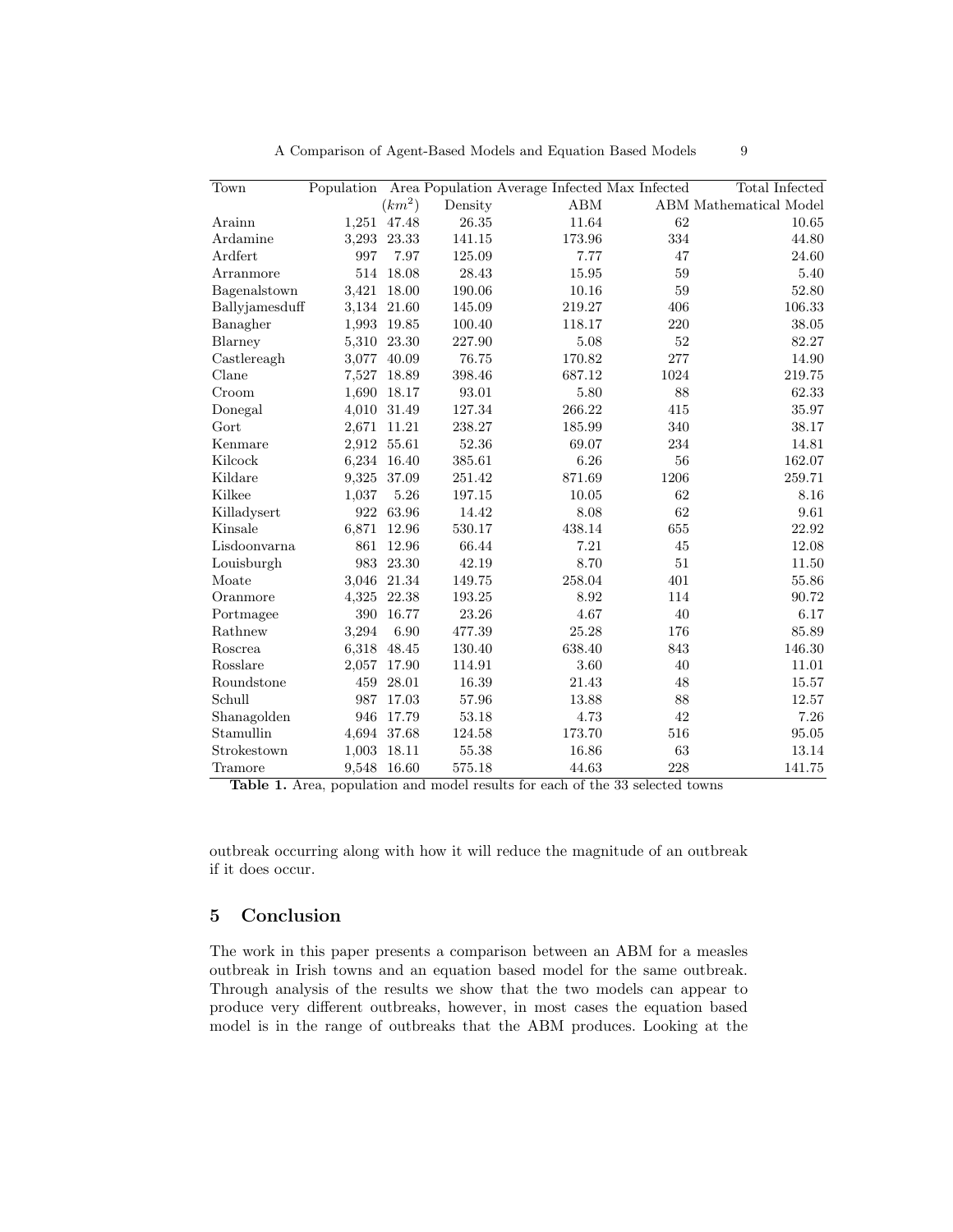| Town           | Population |             |            | Area Population Average Infected Max Infected |        | Total Infected         |
|----------------|------------|-------------|------------|-----------------------------------------------|--------|------------------------|
|                |            | $(km^2)$    | Density    | ABM                                           |        | ABM Mathematical Model |
| Arainn         |            | 1,251 47.48 | 26.35      | 11.64                                         | 62     | 10.65                  |
| Ardamine       | 3,293      | 23.33       | $141.15\,$ | 173.96                                        | 334    | 44.80                  |
| Ardfert        | 997        | 7.97        | 125.09     | 7.77                                          | 47     | 24.60                  |
| Arranmore      | 514        | 18.08       | 28.43      | 15.95                                         | 59     | 5.40                   |
| Bagenalstown   | 3,421      | 18.00       | 190.06     | 10.16                                         | 59     | 52.80                  |
| Ballyjamesduff | 3,134      | 21.60       | 145.09     | 219.27                                        | 406    | 106.33                 |
| Banagher       | 1,993      | 19.85       | 100.40     | 118.17                                        | 220    | 38.05                  |
| Blarney        | 5,310      | 23.30       | 227.90     | 5.08                                          | $52\,$ | 82.27                  |
| Castlereagh    | 3,077      | 40.09       | 76.75      | 170.82                                        | 277    | 14.90                  |
| Clane          | 7,527      | 18.89       | 398.46     | 687.12                                        | 1024   | 219.75                 |
| Croom          | 1,690      | 18.17       | 93.01      | 5.80                                          | 88     | 62.33                  |
| Donegal        | 4,010      | 31.49       | 127.34     | 266.22                                        | 415    | 35.97                  |
| Gort           | 2,671      | 11.21       | 238.27     | 185.99                                        | 340    | 38.17                  |
| Kenmare        | 2,912      | 55.61       | 52.36      | 69.07                                         | 234    | 14.81                  |
| Kilcock        | 6,234      | 16.40       | 385.61     | 6.26                                          | 56     | 162.07                 |
| Kildare        | 9,325      | 37.09       | 251.42     | 871.69                                        | 1206   | 259.71                 |
| Kilkee         | 1,037      | 5.26        | 197.15     | 10.05                                         | 62     | 8.16                   |
| Killadysert    | 922        | 63.96       | 14.42      | 8.08                                          | 62     | 9.61                   |
| Kinsale        | 6,871      | 12.96       | 530.17     | 438.14                                        | 655    | 22.92                  |
| Lisdoonvarna   | 861        | 12.96       | 66.44      | 7.21                                          | 45     | 12.08                  |
| Louisburgh     | 983        | 23.30       | 42.19      | 8.70                                          | $51\,$ | 11.50                  |
| Moate          | 3,046      | 21.34       | 149.75     | 258.04                                        | 401    | 55.86                  |
| Oranmore       | 4,325      | 22.38       | 193.25     | 8.92                                          | 114    | 90.72                  |
| Portmagee      | 390        | 16.77       | 23.26      | 4.67                                          | 40     | 6.17                   |
| Rathnew        | 3,294      | 6.90        | 477.39     | 25.28                                         | 176    | 85.89                  |
| Roscrea        | 6,318      | 48.45       | 130.40     | 638.40                                        | 843    | 146.30                 |
| Rosslare       | 2,057      | 17.90       | 114.91     | 3.60                                          | 40     | 11.01                  |
| Roundstone     | 459        | 28.01       | 16.39      | 21.43                                         | 48     | 15.57                  |
| Schull         | 987        | 17.03       | 57.96      | 13.88                                         | 88     | 12.57                  |
| Shanagolden    | 946        | 17.79       | 53.18      | 4.73                                          | 42     | 7.26                   |
| Stamullin      | 4,694      | 37.68       | 124.58     | 173.70                                        | 516    | 95.05                  |
| Strokestown    | 1,003      | 18.11       | 55.38      | 16.86                                         | 63     | 13.14                  |
| Tramore        | 9,548      | 16.60       | 575.18     | 44.63                                         | 228    | 141.75                 |

A Comparison of Agent-Based Models and Equation Based Models 9

Table 1. Area, population and model results for each of the 33 selected towns

outbreak occurring along with how it will reduce the magnitude of an outbreak if it does occur.

# 5 Conclusion

The work in this paper presents a comparison between an ABM for a measles outbreak in Irish towns and an equation based model for the same outbreak. Through analysis of the results we show that the two models can appear to produce very different outbreaks, however, in most cases the equation based model is in the range of outbreaks that the ABM produces. Looking at the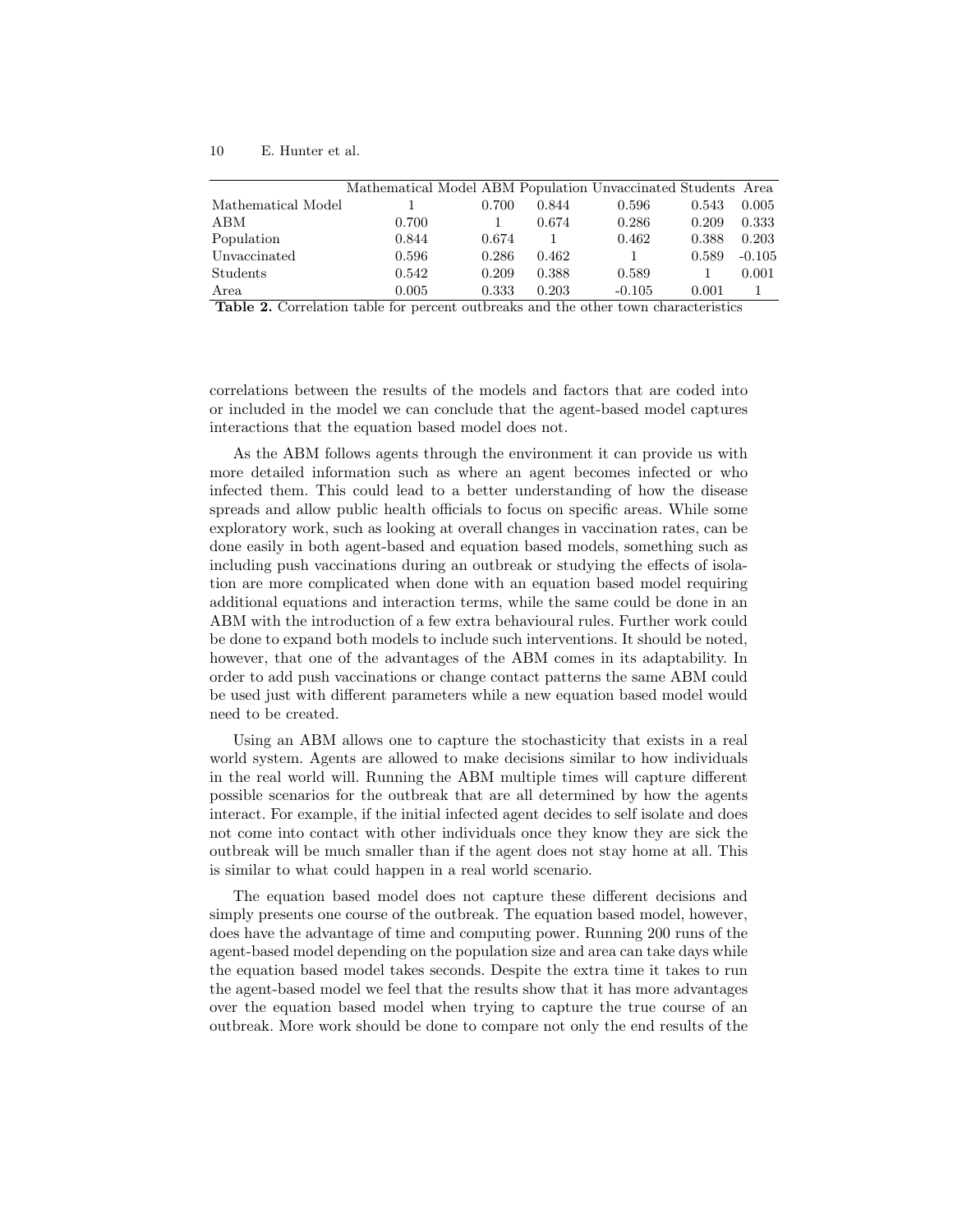|                           | Mathematical Model ABM Population Unvaccinated Students Area |       |       |          |       |          |
|---------------------------|--------------------------------------------------------------|-------|-------|----------|-------|----------|
| Mathematical Model        |                                                              | 0.700 | 0.844 | 0.596    | 0.543 | 0.005    |
| АВМ                       | 0.700                                                        |       | 0.674 | 0.286    | 0.209 | 0.333    |
| Population                | 0.844                                                        | 0.674 |       | 0.462    | 0.388 | 0.203    |
| Unvaccinated              | 0.596                                                        | 0.286 | 0.462 | 1        | 0.589 | $-0.105$ |
| $\operatorname{Students}$ | 0.542                                                        | 0.209 | 0.388 | 0.589    |       | 0.001    |
| Area                      | 0.005                                                        | 0.333 | 0.203 | $-0.105$ | 0.001 |          |

Table 2. Correlation table for percent outbreaks and the other town characteristics

correlations between the results of the models and factors that are coded into or included in the model we can conclude that the agent-based model captures interactions that the equation based model does not.

As the ABM follows agents through the environment it can provide us with more detailed information such as where an agent becomes infected or who infected them. This could lead to a better understanding of how the disease spreads and allow public health officials to focus on specific areas. While some exploratory work, such as looking at overall changes in vaccination rates, can be done easily in both agent-based and equation based models, something such as including push vaccinations during an outbreak or studying the effects of isolation are more complicated when done with an equation based model requiring additional equations and interaction terms, while the same could be done in an ABM with the introduction of a few extra behavioural rules. Further work could be done to expand both models to include such interventions. It should be noted, however, that one of the advantages of the ABM comes in its adaptability. In order to add push vaccinations or change contact patterns the same ABM could be used just with different parameters while a new equation based model would need to be created.

Using an ABM allows one to capture the stochasticity that exists in a real world system. Agents are allowed to make decisions similar to how individuals in the real world will. Running the ABM multiple times will capture different possible scenarios for the outbreak that are all determined by how the agents interact. For example, if the initial infected agent decides to self isolate and does not come into contact with other individuals once they know they are sick the outbreak will be much smaller than if the agent does not stay home at all. This is similar to what could happen in a real world scenario.

The equation based model does not capture these different decisions and simply presents one course of the outbreak. The equation based model, however, does have the advantage of time and computing power. Running 200 runs of the agent-based model depending on the population size and area can take days while the equation based model takes seconds. Despite the extra time it takes to run the agent-based model we feel that the results show that it has more advantages over the equation based model when trying to capture the true course of an outbreak. More work should be done to compare not only the end results of the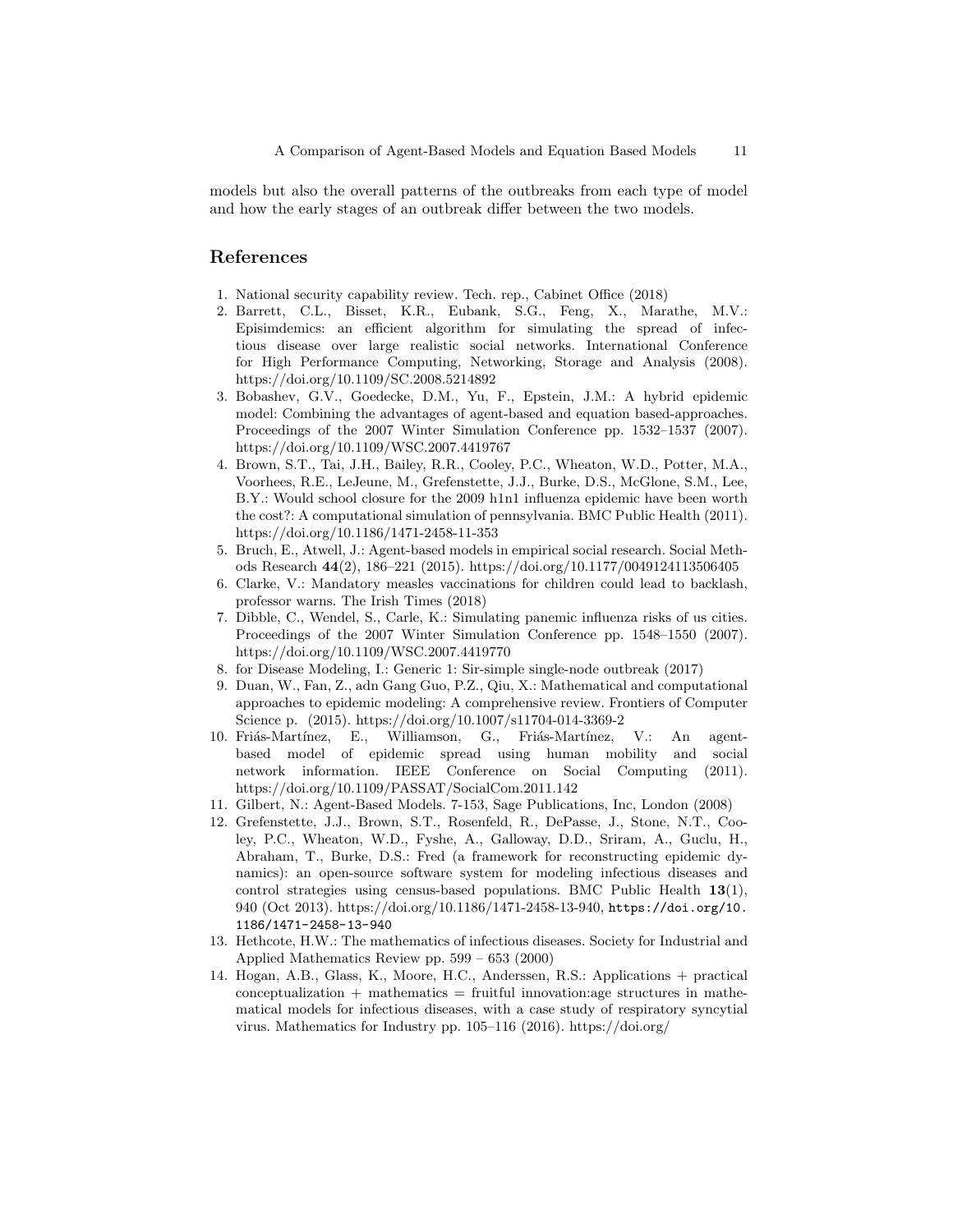models but also the overall patterns of the outbreaks from each type of model and how the early stages of an outbreak differ between the two models.

## References

- 1. National security capability review. Tech. rep., Cabinet Office (2018)
- 2. Barrett, C.L., Bisset, K.R., Eubank, S.G., Feng, X., Marathe, M.V.: Episimdemics: an efficient algorithm for simulating the spread of infectious disease over large realistic social networks. International Conference for High Performance Computing, Networking, Storage and Analysis (2008). https://doi.org/10.1109/SC.2008.5214892
- 3. Bobashev, G.V., Goedecke, D.M., Yu, F., Epstein, J.M.: A hybrid epidemic model: Combining the advantages of agent-based and equation based-approaches. Proceedings of the 2007 Winter Simulation Conference pp. 1532–1537 (2007). https://doi.org/10.1109/WSC.2007.4419767
- 4. Brown, S.T., Tai, J.H., Bailey, R.R., Cooley, P.C., Wheaton, W.D., Potter, M.A., Voorhees, R.E., LeJeune, M., Grefenstette, J.J., Burke, D.S., McGlone, S.M., Lee, B.Y.: Would school closure for the 2009 h1n1 influenza epidemic have been worth the cost?: A computational simulation of pennsylvania. BMC Public Health (2011). https://doi.org/10.1186/1471-2458-11-353
- 5. Bruch, E., Atwell, J.: Agent-based models in empirical social research. Social Methods Research 44(2), 186–221 (2015). https://doi.org/10.1177/0049124113506405
- 6. Clarke, V.: Mandatory measles vaccinations for children could lead to backlash, professor warns. The Irish Times (2018)
- 7. Dibble, C., Wendel, S., Carle, K.: Simulating panemic influenza risks of us cities. Proceedings of the 2007 Winter Simulation Conference pp. 1548–1550 (2007). https://doi.org/10.1109/WSC.2007.4419770
- 8. for Disease Modeling, I.: Generic 1: Sir-simple single-node outbreak (2017)
- 9. Duan, W., Fan, Z., adn Gang Guo, P.Z., Qiu, X.: Mathematical and computational approaches to epidemic modeling: A comprehensive review. Frontiers of Computer Science p. (2015). https://doi.org/10.1007/s11704-014-3369-2
- 10. Friás-Martínez, E., Williamson, G., Friás-Martínez, V.: An agentbased model of epidemic spread using human mobility and social network information. IEEE Conference on Social Computing (2011). https://doi.org/10.1109/PASSAT/SocialCom.2011.142
- 11. Gilbert, N.: Agent-Based Models. 7-153, Sage Publications, Inc, London (2008)
- 12. Grefenstette, J.J., Brown, S.T., Rosenfeld, R., DePasse, J., Stone, N.T., Cooley, P.C., Wheaton, W.D., Fyshe, A., Galloway, D.D., Sriram, A., Guclu, H., Abraham, T., Burke, D.S.: Fred (a framework for reconstructing epidemic dynamics): an open-source software system for modeling infectious diseases and control strategies using census-based populations. BMC Public Health 13(1), 940 (Oct 2013). https://doi.org/10.1186/1471-2458-13-940, https://doi.org/10. 1186/1471-2458-13-940
- 13. Hethcote, H.W.: The mathematics of infectious diseases. Society for Industrial and Applied Mathematics Review pp. 599 – 653 (2000)
- 14. Hogan, A.B., Glass, K., Moore, H.C., Anderssen, R.S.: Applications + practical  $\text{conceptualization} + \text{mathematics} = \text{fruitful innovation:age structures in mathe-}$ matical models for infectious diseases, with a case study of respiratory syncytial virus. Mathematics for Industry pp. 105–116 (2016). https://doi.org/